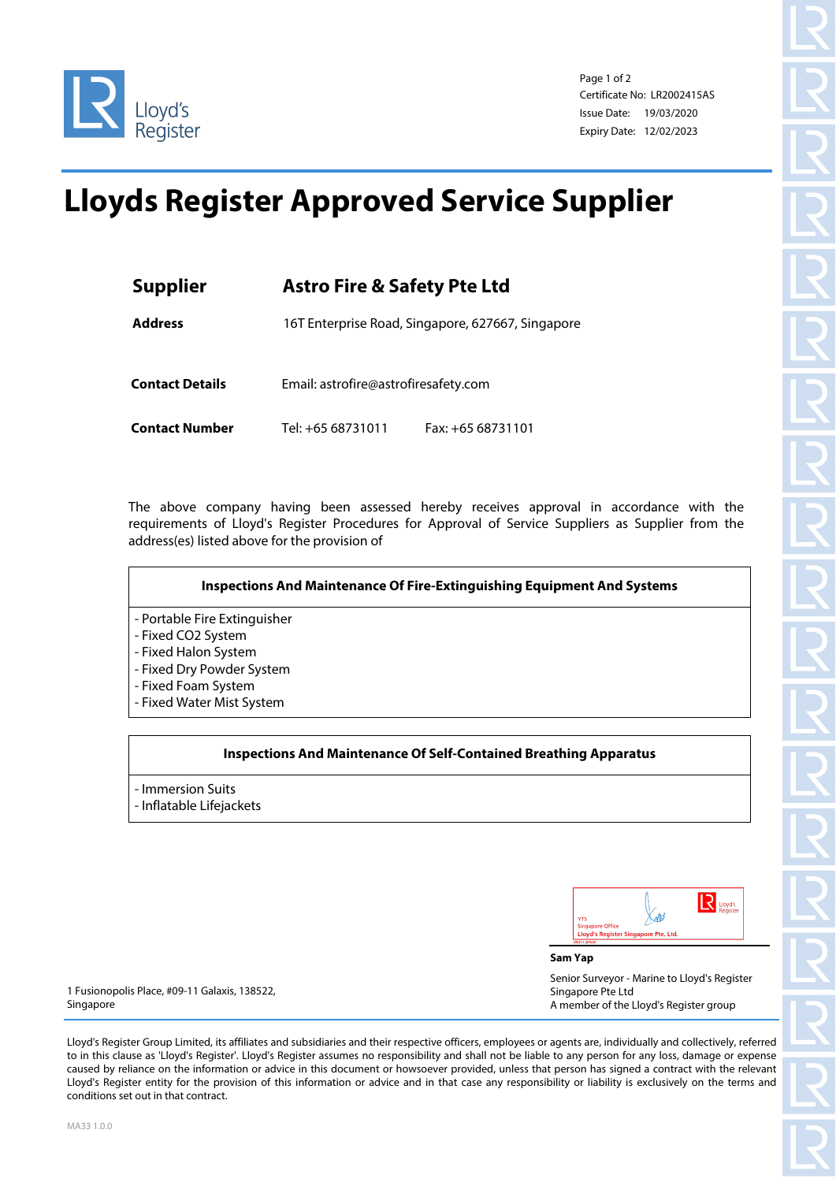

Page 1 of 2 Certificate No: LR2002415AS Issue Date: 19/03/2020 Expiry Date: 12/02/2023

## **Lloyds Register Approved Service Supplier**

| <b>Supplier</b>        | <b>Astro Fire &amp; Safety Pte Ltd</b>            |                   |
|------------------------|---------------------------------------------------|-------------------|
| <b>Address</b>         | 16T Enterprise Road, Singapore, 627667, Singapore |                   |
| <b>Contact Details</b> | Email: astrofire@astrofiresafety.com              |                   |
| <b>Contact Number</b>  | Tel: +65 68731011                                 | Fax: +65 68731101 |

The above company having been assessed hereby receives approval in accordance with the requirements of Lloyd's Register Procedures for Approval of Service Suppliers as Supplier from the address(es) listed above for the provision of



## **Inspections And Maintenance Of Self-Contained Breathing Apparatus**

- Immersion Suits - Inflatable Lifejackets

| <b>YTS</b><br><b>Singapore Office</b> |                                      | Lloyd's<br>Register |
|---------------------------------------|--------------------------------------|---------------------|
|                                       | Lloyd's Register Singapore Pte. Ltd. |                     |

**Sam Yap**

Senior Surveyor - Marine to Lloyd's Register Singapore Pte Ltd A member of the Lloyd's Register group

1 Fusionopolis Place, #09-11 Galaxis, 138522, Singapore

Lloyd's Register Group Limited, its affiliates and subsidiaries and their respective officers, employees or agents are, individually and collectively, referred to in this clause as 'Lloyd's Register'. Lloyd's Register assumes no responsibility and shall not be liable to any person for any loss, damage or expense caused by reliance on the information or advice in this document or howsoever provided, unless that person has signed a contract with the relevant Lloyd's Register entity for the provision of this information or advice and in that case any responsibility or liability is exclusively on the terms and conditions set out in that contract.